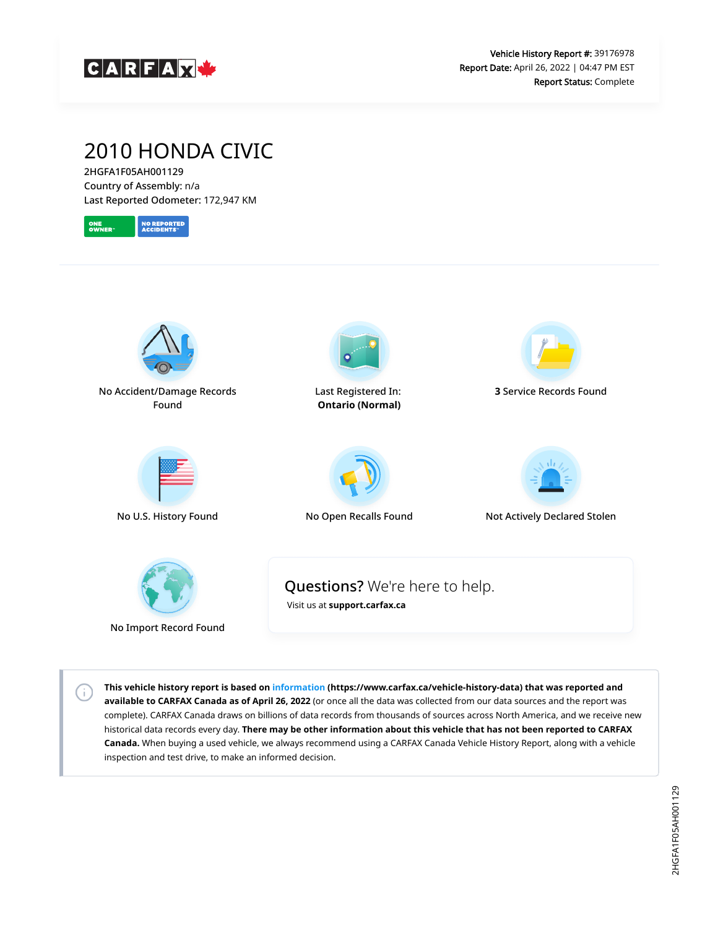

# 2010 HONDA CIVIC

2HGFA1F05AH001129 Country of Assembly: n/a Last Reported Odometer: 172,947 KM





No Import Record Found

G)

**This vehicle history report is based on [information](https://www.carfax.ca/vehicle-history-data) (https://www.carfax.ca/vehicle-history-data) that was reported and available to CARFAX Canada as of April 26, 2022** (or once all the data was collected from our data sources and the report was complete). CARFAX Canada draws on billions of data records from thousands of sources across North America, and we receive new historical data records every day. **There may be other information about this vehicle that has not been reported to CARFAX Canada.** When buying a used vehicle, we always recommend using a CARFAX Canada Vehicle History Report, along with a vehicle inspection and test drive, to make an informed decision.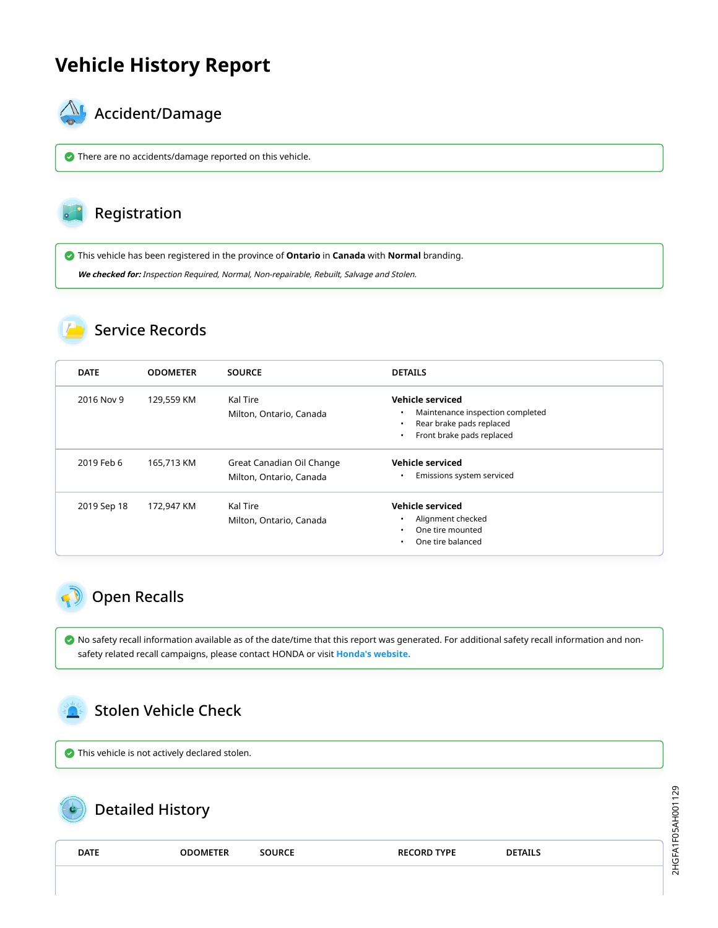# **Vehicle History Report**



## $\mathbb{A}_{\mathbb{A}}$  Accident/Damage

There are no accidents/damage reported on this vehicle.

#### Registration

This vehicle has been registered in the province of **Ontario** in **Canada** with **Normal** branding.

**We checked for:** Inspection Required, Normal, Non-repairable, Rebuilt, Salvage and Stolen.

### Service Records

| <b>DATE</b> | <b>ODOMETER</b> | <b>SOURCE</b>                                        | <b>DETAILS</b>                                                                                                                          |
|-------------|-----------------|------------------------------------------------------|-----------------------------------------------------------------------------------------------------------------------------------------|
| 2016 Nov 9  | 129,559 KM      | Kal Tire<br>Milton, Ontario, Canada                  | Vehicle serviced<br>Maintenance inspection completed<br>Rear brake pads replaced<br>$\bullet$<br>Front brake pads replaced<br>$\bullet$ |
| 2019 Feb 6  | 165,713 KM      | Great Canadian Oil Change<br>Milton, Ontario, Canada | Vehicle serviced<br>Emissions system serviced<br>$\bullet$                                                                              |
| 2019 Sep 18 | 172,947 KM      | Kal Tire<br>Milton, Ontario, Canada                  | <b>Vehicle serviced</b><br>Alignment checked<br>One tire mounted<br>One tire balanced<br>$\bullet$                                      |

### <span id="page-1-0"></span>Open Recalls

 No safety recall information available as of the date/time that this report was generated. For additional safety recall information and nonsafety related recall campaigns, please contact HONDA or visit **[Honda's website.](http://www.honda.ca/recalls)**

<span id="page-1-1"></span>